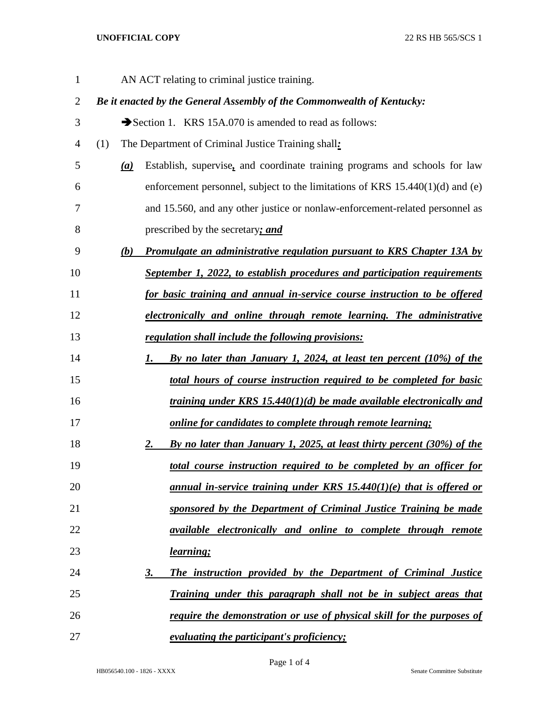## **UNOFFICIAL COPY** 22 RS HB 565/SCS 1

| $\mathbf{1}$   |     |     | AN ACT relating to criminal justice training.                                   |
|----------------|-----|-----|---------------------------------------------------------------------------------|
| $\overline{2}$ |     |     | Be it enacted by the General Assembly of the Commonwealth of Kentucky:          |
| 3              |     |     | Section 1. KRS 15A.070 is amended to read as follows:                           |
| 4              | (1) |     | The Department of Criminal Justice Training shall:                              |
| 5              |     | (a) | Establish, supervise, and coordinate training programs and schools for law      |
| 6              |     |     | enforcement personnel, subject to the limitations of KRS $15.440(1)(d)$ and (e) |
| 7              |     |     | and 15.560, and any other justice or nonlaw-enforcement-related personnel as    |
| 8              |     |     | prescribed by the secretary; and                                                |
| 9              |     | (b) | <b>Promulgate an administrative regulation pursuant to KRS Chapter 13A by</b>   |
| 10             |     |     | September 1, 2022, to establish procedures and participation requirements       |
| 11             |     |     | for basic training and annual in-service course instruction to be offered       |
| 12             |     |     | electronically and online through remote learning. The administrative           |
| 13             |     |     | regulation shall include the following provisions:                              |
| 14             |     |     | By no later than January 1, 2024, at least ten percent $(10\%)$ of the<br>1.    |
| 15             |     |     | total hours of course instruction required to be completed for basic            |
| 16             |     |     | training under KRS 15.440(1)(d) be made available electronically and            |
| 17             |     |     | online for candidates to complete through remote learning;                      |
| 18             |     |     | By no later than January 1, 2025, at least thirty percent (30%) of the<br>2.    |
| 19             |     |     | total course instruction required to be completed by an officer for             |
| 20             |     |     | <u>annual in-service training under KRS 15.440(1)(e) that is offered or</u>     |
| 21             |     |     | sponsored by the Department of Criminal Justice Training be made                |
| 22             |     |     | <i>available electronically and online to complete through remote</i>           |
| 23             |     |     | learning;                                                                       |
| 24             |     |     | The instruction provided by the Department of Criminal Justice<br><u>3.</u>     |
| 25             |     |     | Training under this paragraph shall not be in subject areas that                |
| 26             |     |     | <u>require the demonstration or use of physical skill for the purposes of</u>   |
| 27             |     |     | <i>evaluating the participant's proficiency;</i>                                |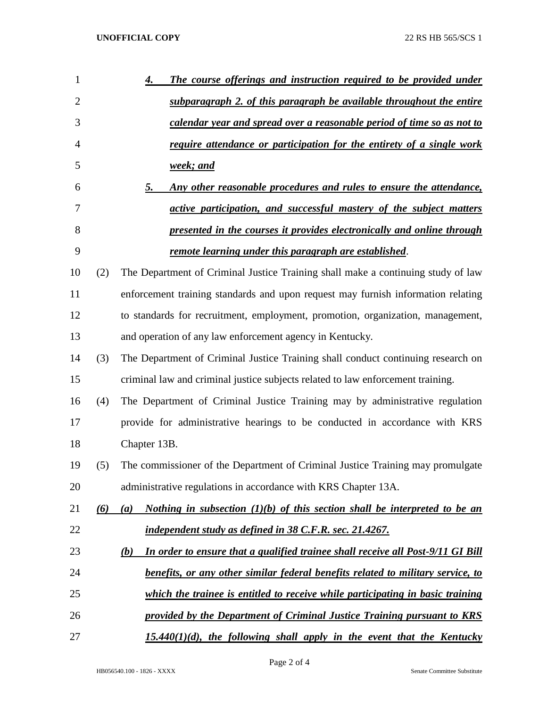| 1  |     | The course offerings and instruction required to be provided under<br>4.                      |
|----|-----|-----------------------------------------------------------------------------------------------|
| 2  |     | subparagraph 2. of this paragraph be available throughout the entire                          |
| 3  |     | calendar year and spread over a reasonable period of time so as not to                        |
| 4  |     | require attendance or participation for the entirety of a single work                         |
| 5  |     | <u>week; and</u>                                                                              |
| 6  |     | Any other reasonable procedures and rules to ensure the attendance,<br>5.                     |
| 7  |     | active participation, and successful mastery of the subject matters                           |
| 8  |     | presented in the courses it provides electronically and online through                        |
| 9  |     | remote learning under this paragraph are established.                                         |
| 10 | (2) | The Department of Criminal Justice Training shall make a continuing study of law              |
| 11 |     | enforcement training standards and upon request may furnish information relating              |
| 12 |     | to standards for recruitment, employment, promotion, organization, management,                |
| 13 |     | and operation of any law enforcement agency in Kentucky.                                      |
| 14 | (3) | The Department of Criminal Justice Training shall conduct continuing research on              |
| 15 |     | criminal law and criminal justice subjects related to law enforcement training.               |
| 16 | (4) | The Department of Criminal Justice Training may by administrative regulation                  |
| 17 |     | provide for administrative hearings to be conducted in accordance with KRS                    |
| 18 |     | Chapter 13B.                                                                                  |
| 19 | (5) | The commissioner of the Department of Criminal Justice Training may promulgate                |
| 20 |     | administrative regulations in accordance with KRS Chapter 13A.                                |
| 21 | (6) | Nothing in subsection $(1)(b)$ of this section shall be interpreted to be an<br>(a)           |
| 22 |     | independent study as defined in 38 C.F.R. sec. 21.4267.                                       |
| 23 |     | In order to ensure that a qualified trainee shall receive all Post-9/11 GI Bill<br><u>(b)</u> |
| 24 |     | benefits, or any other similar federal benefits related to military service, to               |
| 25 |     | which the trainee is entitled to receive while participating in basic training                |
| 26 |     | provided by the Department of Criminal Justice Training pursuant to KRS                       |
| 27 |     | $15.440(1)(d)$ , the following shall apply in the event that the Kentucky                     |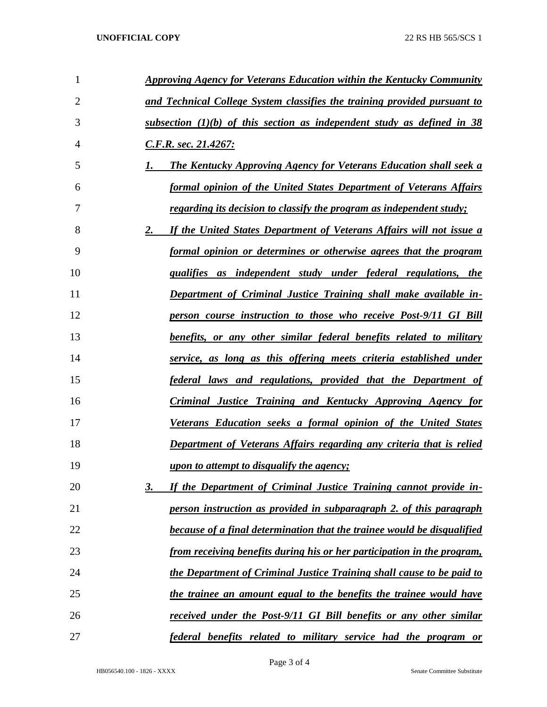| 1              | Approving Agency for Veterans Education within the Kentucky Community          |
|----------------|--------------------------------------------------------------------------------|
| $\overline{2}$ | and Technical College System classifies the training provided pursuant to      |
| 3              | subsection $(1)(b)$ of this section as independent study as defined in 38      |
| $\overline{4}$ | C.F.R. sec. 21.4267:                                                           |
| 5              | <b>The Kentucky Approving Agency for Veterans Education shall seek a</b><br>1. |
| 6              | formal opinion of the United States Department of Veterans Affairs             |
| 7              | <u>regarding its decision to classify the program as independent study;</u>    |
| 8              | 2.<br>If the United States Department of Veterans Affairs will not issue a     |
| 9              | formal opinion or determines or otherwise agrees that the program              |
| 10             | qualifies as independent study under federal regulations, the                  |
| 11             | Department of Criminal Justice Training shall make available in-               |
| 12             | person course instruction to those who receive Post-9/11 GI Bill               |
| 13             | <u>benefits, or any other similar federal benefits related to military</u>     |
| 14             | service, as long as this offering meets criteria established under             |
| 15             | <u>federal laws and regulations, provided that the Department of</u>           |
| 16             | <b>Criminal Justice Training and Kentucky Approving Agency for</b>             |
| 17             | Veterans Education seeks a formal opinion of the United States                 |
| 18             | <b>Department of Veterans Affairs regarding any criteria that is relied</b>    |
| 19             | <i>upon to attempt to disqualify the agency;</i>                               |
| 20             | If the Department of Criminal Justice Training cannot provide in-<br>3.        |
| 21             | person instruction as provided in subparagraph 2, of this paragraph            |
| 22             | because of a final determination that the trainee would be disqualified        |
| 23             | from receiving benefits during his or her participation in the program,        |
| 24             | the Department of Criminal Justice Training shall cause to be paid to          |
| 25             | the trainee an amount equal to the benefits the trainee would have             |
| 26             | received under the Post-9/11 GI Bill benefits or any other similar             |
| 27             | federal benefits related to military service had the program or                |